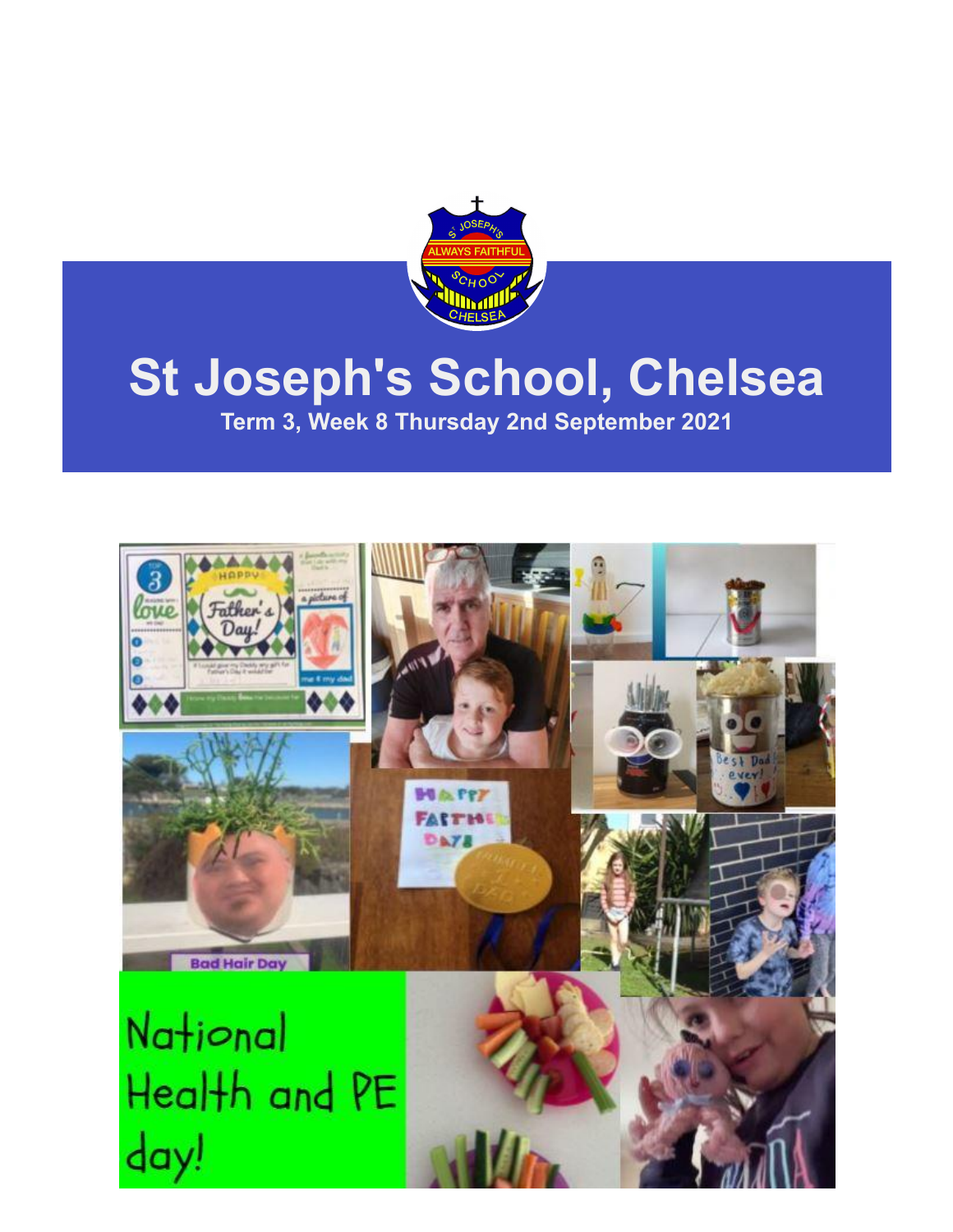

# **St Joseph's School, Chelsea**

**Term 3, Week 8 Thursday 2nd September 2021**

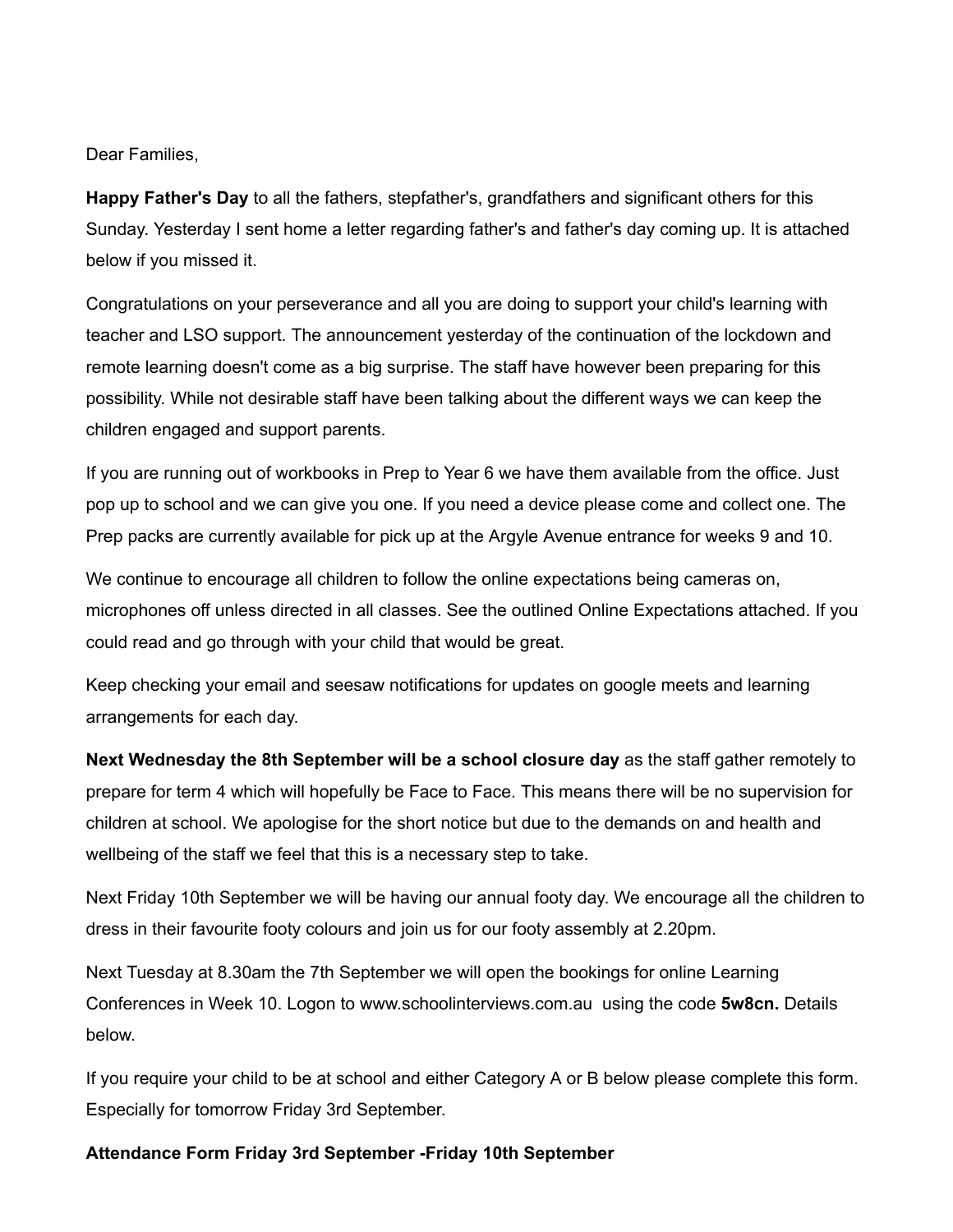Dear Families,

**Happy Father's Day** to all the fathers, stepfather's, grandfathers and significant others for this Sunday. Yesterday I sent home a letter regarding father's and father's day coming up. It is attached below if you missed it.

Congratulations on your perseverance and all you are doing to support your child's learning with teacher and LSO support. The announcement yesterday of the continuation of the lockdown and remote learning doesn't come as a big surprise. The staff have however been preparing for this possibility. While not desirable staff have been talking about the different ways we can keep the children engaged and support parents.

If you are running out of workbooks in Prep to Year 6 we have them available from the office. Just pop up to school and we can give you one. If you need a device please come and collect one. The Prep packs are currently available for pick up at the Argyle Avenue entrance for weeks 9 and 10.

We continue to encourage all children to follow the online expectations being cameras on, microphones off unless directed in all classes. See the outlined Online Expectations attached. If you could read and go through with your child that would be great.

Keep checking your email and seesaw notifications for updates on google meets and learning arrangements for each day.

**Next Wednesday the 8th September will be a school closure day** as the staff gather remotely to prepare for term 4 which will hopefully be Face to Face. This means there will be no supervision for children at school. We apologise for the short notice but due to the demands on and health and wellbeing of the staff we feel that this is a necessary step to take.

Next Friday 10th September we will be having our annual footy day. We encourage all the children to dress in their favourite footy colours and join us for our footy assembly at 2.20pm.

Next Tuesday at 8.30am the 7th September we will open the bookings for online Learning Conferences in Week 10. Logon to [www.schoolinterviews.com.au](http://y8csck80.r.ap-southeast-2.awstrack.me/L0/http:%2F%2Fwww.schoolinterviews.com.au/1/0108017ba4da2193-ac65a9f1-6076-490e-be59-3597957f16fa-000000/lJZW5Brwny0Ol37V7E9H6GVPFDg=14) using the code **5w8cn.** Details below.

If you require your child to be at school and either Category A or B below please complete this form. Especially for tomorrow Friday 3rd September.

### **[Attendance Form Friday 3rd September -Friday 10th September](https://y8csck80.r.ap-southeast-2.awstrack.me/L0/https:%2F%2Fforms.gle%2F3rBkHaeTUbTXQDDE8/1/0108017ba4da2193-ac65a9f1-6076-490e-be59-3597957f16fa-000000/wdcwH9gSYC5btFa6nlwdN4TAWT0=14)**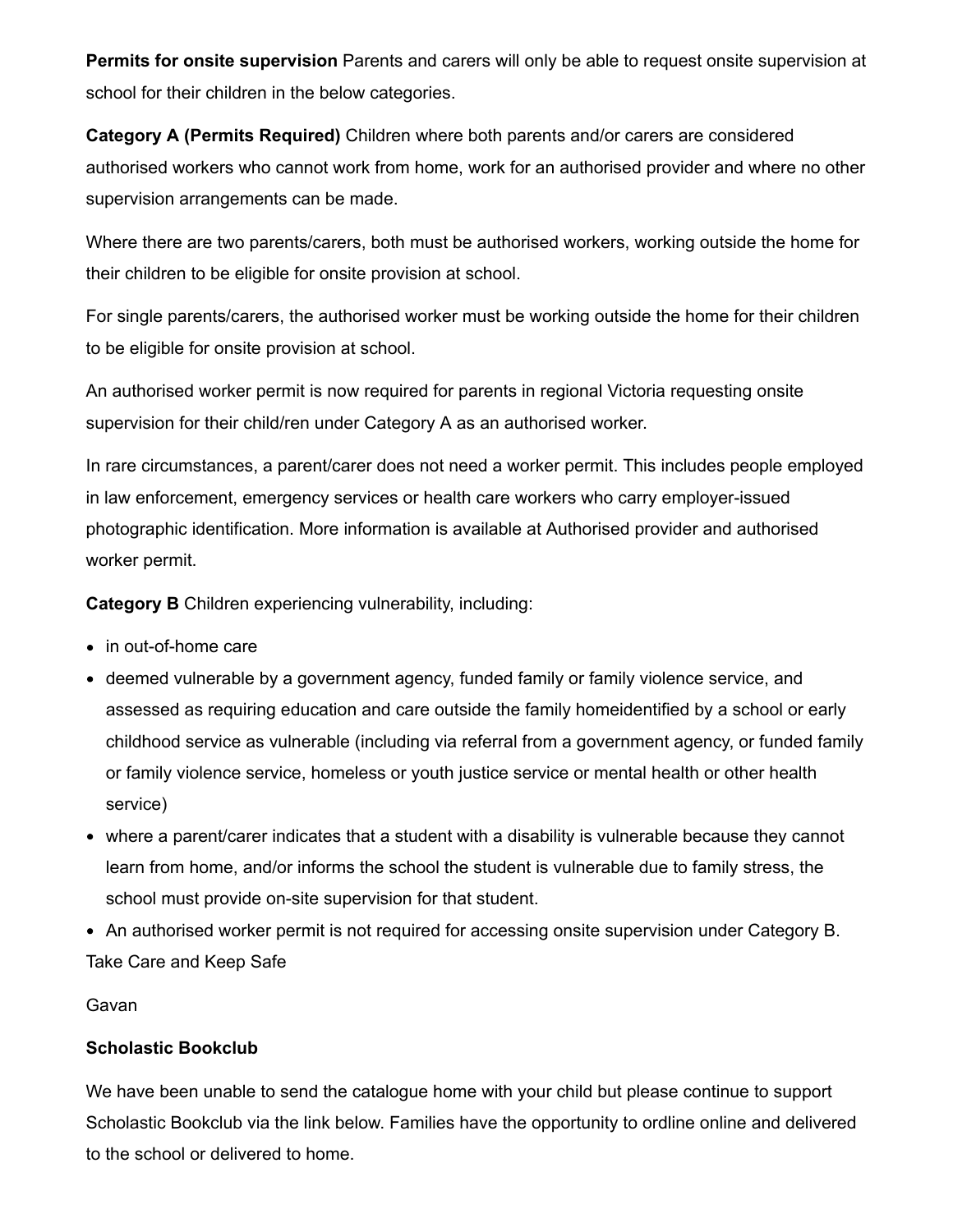**Permits for onsite supervision** Parents and carers will only be able to request onsite supervision at school for their children in the below categories.

**Category A (Permits Required)** Children where both parents and/or carers are considered authorised workers who cannot work from home, work for an authorised provider and where no other supervision arrangements can be made.

Where there are two parents/carers, both must be authorised workers, working outside the home for their children to be eligible for onsite provision at school.

For single parents/carers, the authorised worker must be working outside the home for their children to be eligible for onsite provision at school.

An authorised worker permit is now required for parents in regional Victoria requesting onsite supervision for their child/ren under Category A as an authorised worker.

In rare circumstances, a parent/carer does not need a worker permit. This includes people employed in law enforcement, emergency services or health care workers who carry employer-issued photographic identification. More information is available at Authorised provider and authorised worker permit.

**Category B** Children experiencing vulnerability, including:

- in out-of-home care
- deemed vulnerable by a government agency, funded family or family violence service, and assessed as requiring education and care outside the family homeidentified by a school or early childhood service as vulnerable (including via referral from a government agency, or funded family or family violence service, homeless or youth justice service or mental health or other health service)
- where a parent/carer indicates that a student with a disability is vulnerable because they cannot learn from home, and/or informs the school the student is vulnerable due to family stress, the school must provide on-site supervision for that student.
- An authorised worker permit is not required for accessing onsite supervision under Category B. Take Care and Keep Safe

### Gavan

### **Scholastic Bookclub**

We have been unable to send the catalogue home with your child but please continue to support Scholastic Bookclub via the link below. Families have the opportunity to ordline online and delivered to the school or delivered to home.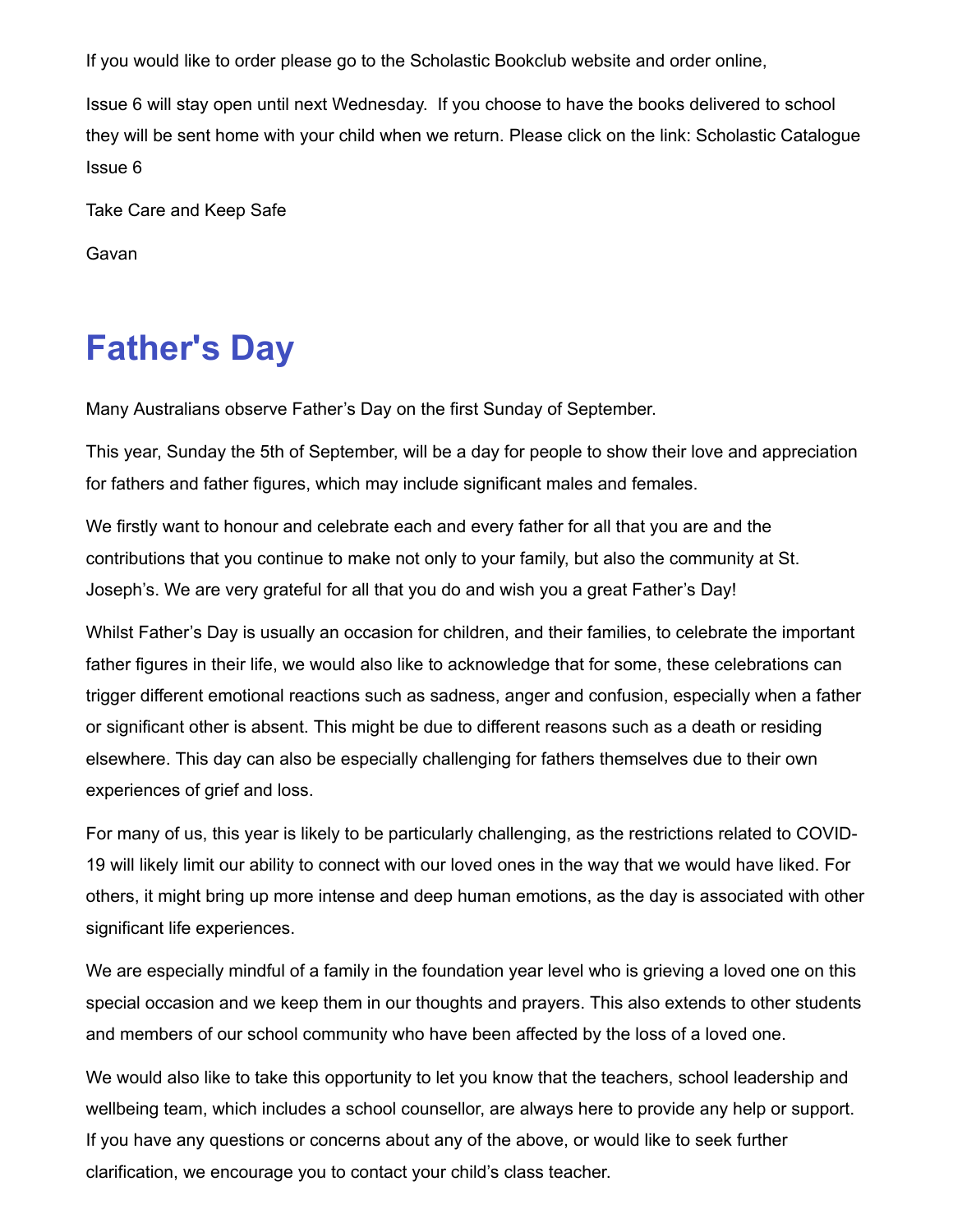If you would like to order please go to the Scholastic Bookclub website and order online,

Issue 6 will stay open until next Wednesday. If you choose to have the books delivered to school [they will be sent home with your child when we return. Please click on the link:](https://www.scholastic.com.au/media/6421/bc621web.pdf) Scholastic Catalogue Issue 6

Take Care and Keep Safe

Gavan

## **Father's Day**

Many Australians observe Father's Day on the first Sunday of September.

This year, Sunday the 5th of September, will be a day for people to show their love and appreciation for fathers and father figures, which may include significant males and females.

We firstly want to honour and celebrate each and every father for all that you are and the contributions that you continue to make not only to your family, but also the community at St. Joseph's. We are very grateful for all that you do and wish you a great Father's Day!

Whilst Father's Day is usually an occasion for children, and their families, to celebrate the important father figures in their life, we would also like to acknowledge that for some, these celebrations can trigger different emotional reactions such as sadness, anger and confusion, especially when a father or significant other is absent. This might be due to different reasons such as a death or residing elsewhere. This day can also be especially challenging for fathers themselves due to their own experiences of grief and loss.

For many of us, this year is likely to be particularly challenging, as the restrictions related to COVID-19 will likely limit our ability to connect with our loved ones in the way that we would have liked. For others, it might bring up more intense and deep human emotions, as the day is associated with other significant life experiences.

We are especially mindful of a family in the foundation year level who is grieving a loved one on this special occasion and we keep them in our thoughts and prayers. This also extends to other students and members of our school community who have been affected by the loss of a loved one.

We would also like to take this opportunity to let you know that the teachers, school leadership and wellbeing team, which includes a school counsellor, are always here to provide any help or support. If you have any questions or concerns about any of the above, or would like to seek further clarification, we encourage you to contact your child's class teacher.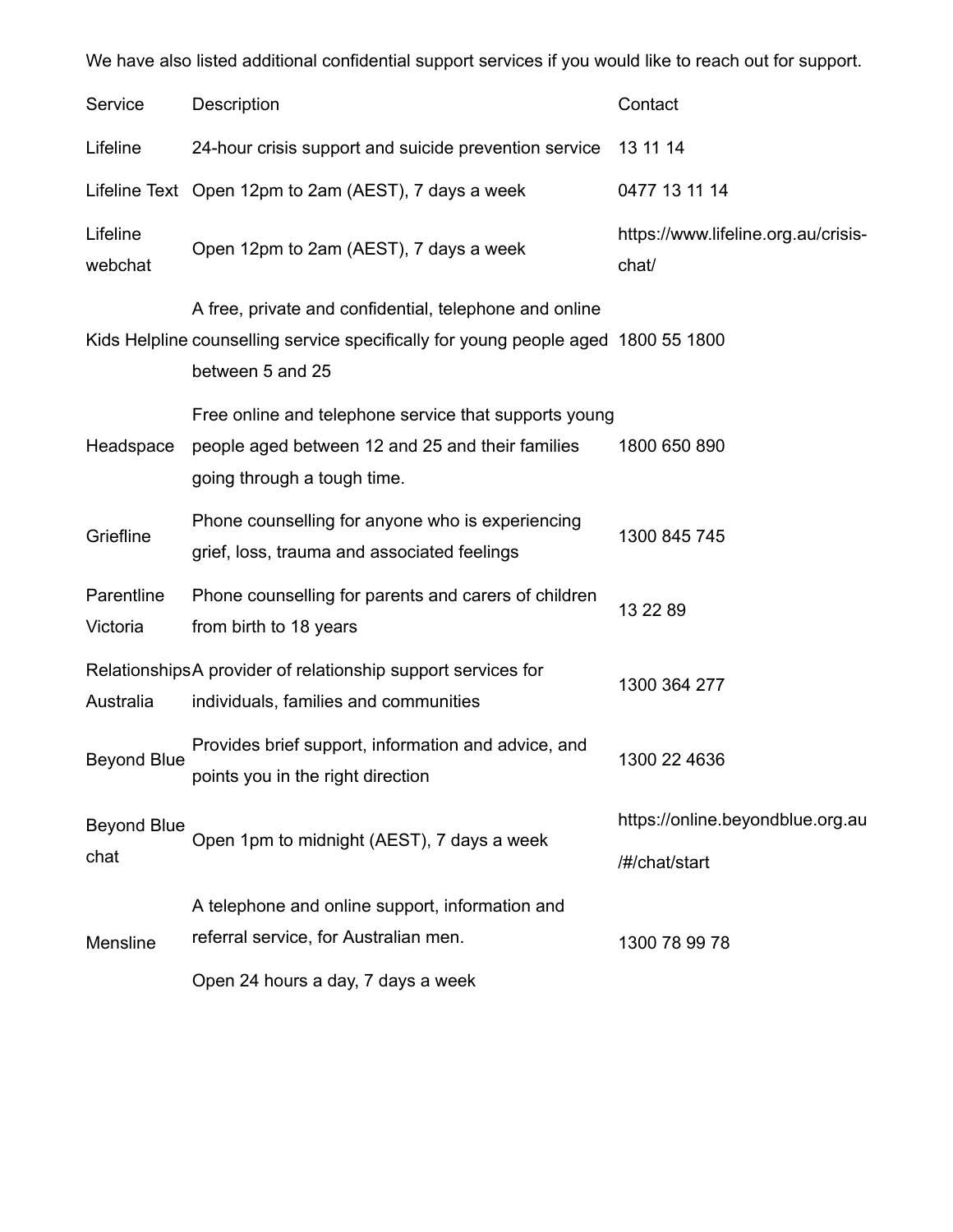We have also listed additional confidential support services if you would like to reach out for support.

| Service                    | <b>Description</b>                                                                                                                                              | Contact                                           |
|----------------------------|-----------------------------------------------------------------------------------------------------------------------------------------------------------------|---------------------------------------------------|
| Lifeline                   | 24-hour crisis support and suicide prevention service                                                                                                           | 13 11 14                                          |
|                            | Lifeline Text Open 12pm to 2am (AEST), 7 days a week                                                                                                            | 0477 13 11 14                                     |
| Lifeline<br>webchat        | Open 12pm to 2am (AEST), 7 days a week                                                                                                                          | https://www.lifeline.org.au/crisis-<br>chat/      |
|                            | A free, private and confidential, telephone and online<br>Kids Helpline counselling service specifically for young people aged 1800 55 1800<br>between 5 and 25 |                                                   |
| Headspace                  | Free online and telephone service that supports young<br>people aged between 12 and 25 and their families<br>going through a tough time.                        | 1800 650 890                                      |
| Griefline                  | Phone counselling for anyone who is experiencing<br>grief, loss, trauma and associated feelings                                                                 | 1300 845 745                                      |
| Parentline<br>Victoria     | Phone counselling for parents and carers of children<br>from birth to 18 years                                                                                  | 13 22 89                                          |
| Australia                  | Relationships A provider of relationship support services for<br>individuals, families and communities                                                          | 1300 364 277                                      |
| <b>Beyond Blue</b>         | Provides brief support, information and advice, and<br>points you in the right direction                                                                        | 1300 22 4636                                      |
| <b>Beyond Blue</b><br>chat | Open 1pm to midnight (AEST), 7 days a week                                                                                                                      | https://online.beyondblue.org.au<br>/#/chat/start |
| Mensline                   | A telephone and online support, information and<br>referral service, for Australian men.                                                                        | 1300 78 99 78                                     |
|                            | Open 24 hours a day, 7 days a week                                                                                                                              |                                                   |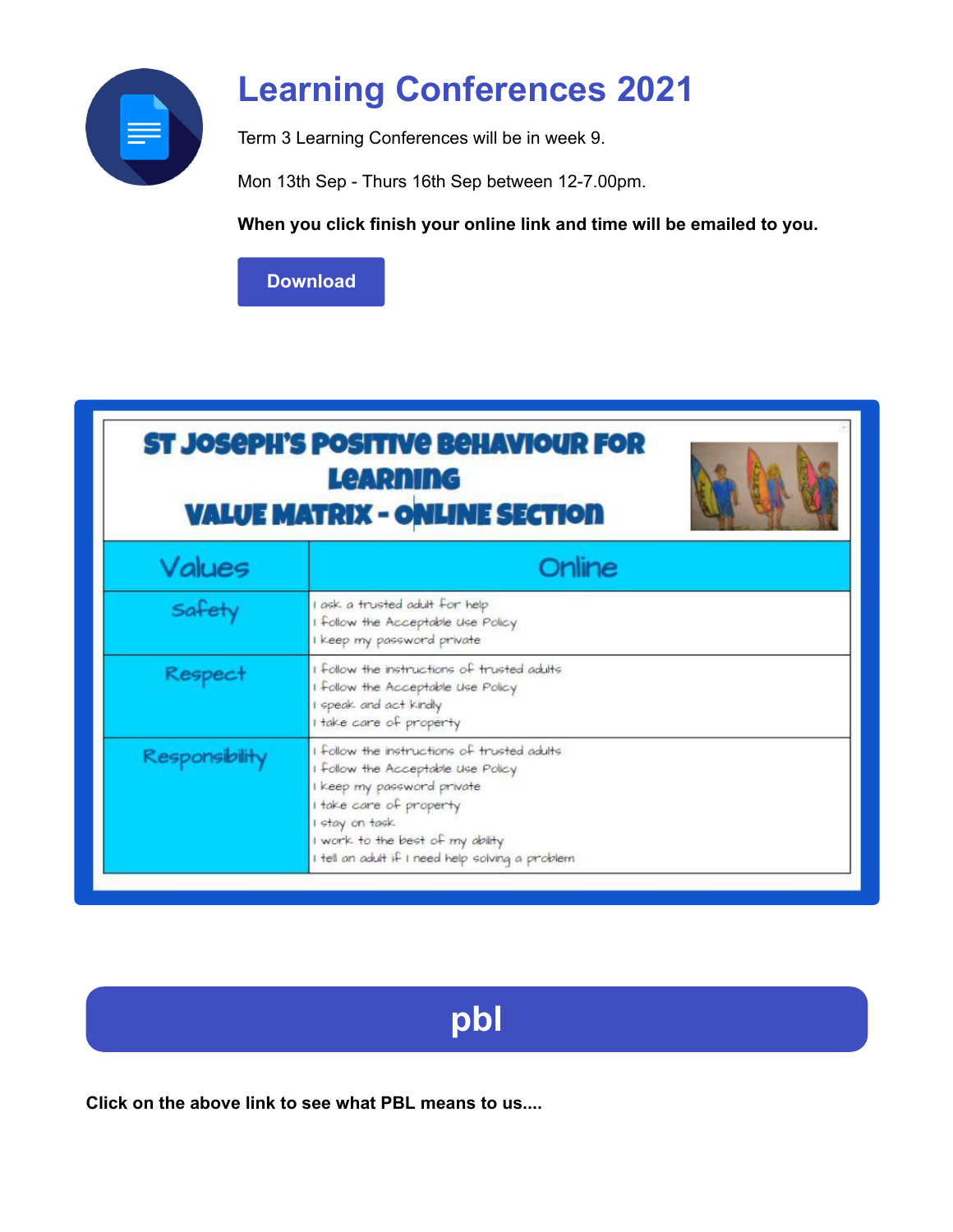

# **Learning Conferences 2021**

Term 3 Learning Conferences will be in week 9.

Mon 13th Sep - Thurs 16th Sep between 12-7.00pm.

**When you click finish your online link and time will be emailed to you.**

**[Download](https://enewsletter.coralcommunities.com/download?file=/file_module/22769/file_download_22769_9290751532.pdf)**

### **ST JOSEPH'S POSITIVE BEHAVIOUR FOR Learning VALUE MATRIX - ONLINE SECTION**



| Values         | Online                                                                                                                                                                                                                                                |  |
|----------------|-------------------------------------------------------------------------------------------------------------------------------------------------------------------------------------------------------------------------------------------------------|--|
| Safety         | I ask a trusted adult for help<br>I follow the Acceptable Use Policy<br>I keep my password private                                                                                                                                                    |  |
| Respect        | I follow the instructions of trusted adults<br>I follow the Acceptable Use Policy<br>I speak and act kindly<br>I take care of property                                                                                                                |  |
| Responsibility | I follow the instructions of trusted adults<br>I follow the Acceptable Use Policy<br>I keep my password private<br>I take care of property<br>I stay on task.<br>I work to the best of my ability<br>I tell an adult if I need help solving a problem |  |



**Click on the above link to see what PBL means to us....**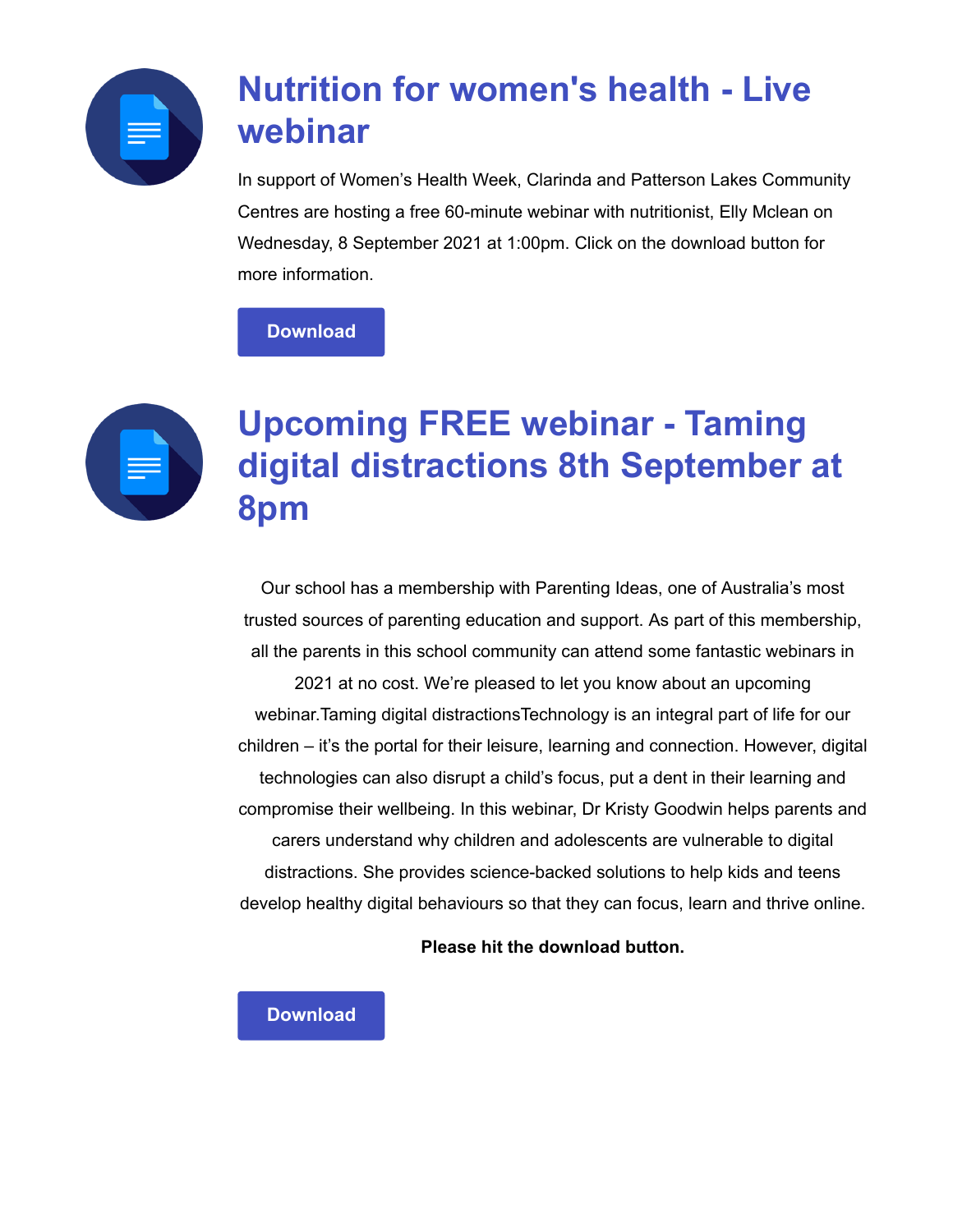

# **Nutrition for women's health - Live webinar**

In support of Women's Health Week, Clarinda and Patterson Lakes Community Centres are hosting a free 60-minute webinar with nutritionist, Elly Mclean on Wednesday, 8 September 2021 at 1:00pm. Click on the download button for more information.

### **[Download](https://enewsletter.coralcommunities.com/download?file=/file_module/22769/file_download_22769_6429548356.pdf)**



### **Upcoming FREE webinar - Taming digital distractions 8th September at 8pm**

Our school has a membership with Parenting Ideas, one of Australia's most trusted sources of parenting education and support. As part of this membership, all the parents in this school community can attend some fantastic webinars in

2021 at no cost. We're pleased to let you know about an upcoming webinar.Taming digital distractionsTechnology is an integral part of life for our children – it's the portal for their leisure, learning and connection. However, digital technologies can also disrupt a child's focus, put a dent in their learning and compromise their wellbeing. In this webinar, Dr Kristy Goodwin helps parents and carers understand why children and adolescents are vulnerable to digital distractions. She provides science-backed solutions to help kids and teens develop healthy digital behaviours so that they can focus, learn and thrive online.

**Please hit the download button.**

### **[Download](https://enewsletter.coralcommunities.com/download?file=/file_module/22615/file_download_22615_7153598614.pdf)**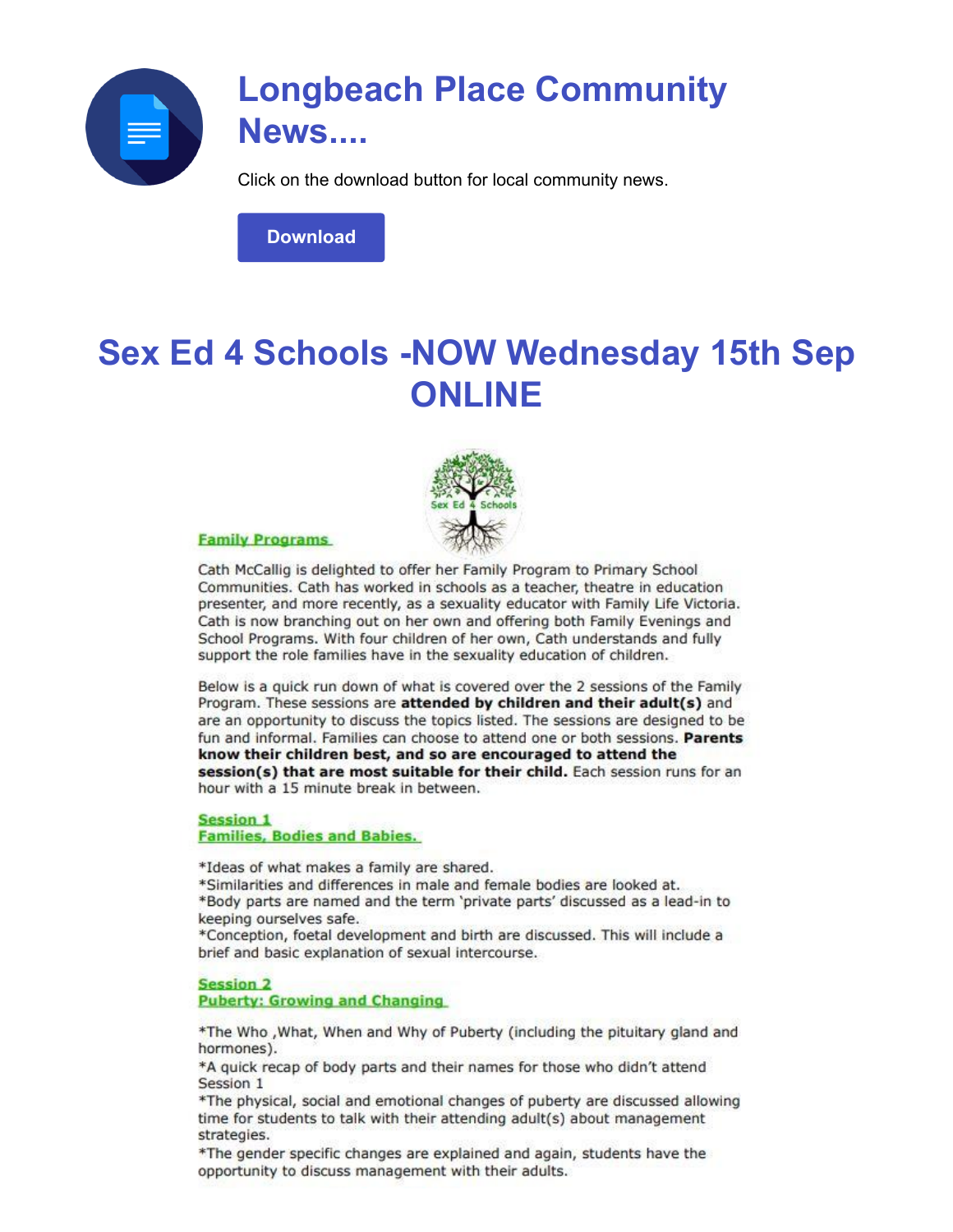

### **Longbeach Place Community News....**

Click on the download button for local community news.

**[Download](https://enewsletter.coralcommunities.com/download?file=/file_module/22769/file_download_22769_6929056892.pdf)**

### **Sex Ed 4 Schools -NOW Wednesday 15th Sep ONLINE**



#### **Family Programs**

Cath McCallig is delighted to offer her Family Program to Primary School Communities. Cath has worked in schools as a teacher, theatre in education presenter, and more recently, as a sexuality educator with Family Life Victoria. Cath is now branching out on her own and offering both Family Evenings and School Programs. With four children of her own, Cath understands and fully support the role families have in the sexuality education of children.

Below is a quick run down of what is covered over the 2 sessions of the Family Program. These sessions are attended by children and their adult(s) and are an opportunity to discuss the topics listed. The sessions are designed to be fun and informal. Families can choose to attend one or both sessions. Parents know their children best, and so are encouraged to attend the session(s) that are most suitable for their child. Each session runs for an hour with a 15 minute break in between.

#### **Session 1 Families, Bodies and Babies.**

\*Ideas of what makes a family are shared.

\*Similarities and differences in male and female bodies are looked at. \*Body parts are named and the term 'private parts' discussed as a lead-in to keeping ourselves safe.

\*Conception, foetal development and birth are discussed. This will include a brief and basic explanation of sexual intercourse.

#### **Session 2**

**Puberty: Growing and Changing** 

\*The Who , What, When and Why of Puberty (including the pituitary gland and hormones).

\*A quick recap of body parts and their names for those who didn't attend Session 1

\*The physical, social and emotional changes of puberty are discussed allowing time for students to talk with their attending adult(s) about management strategies.

\*The gender specific changes are explained and again, students have the opportunity to discuss management with their adults.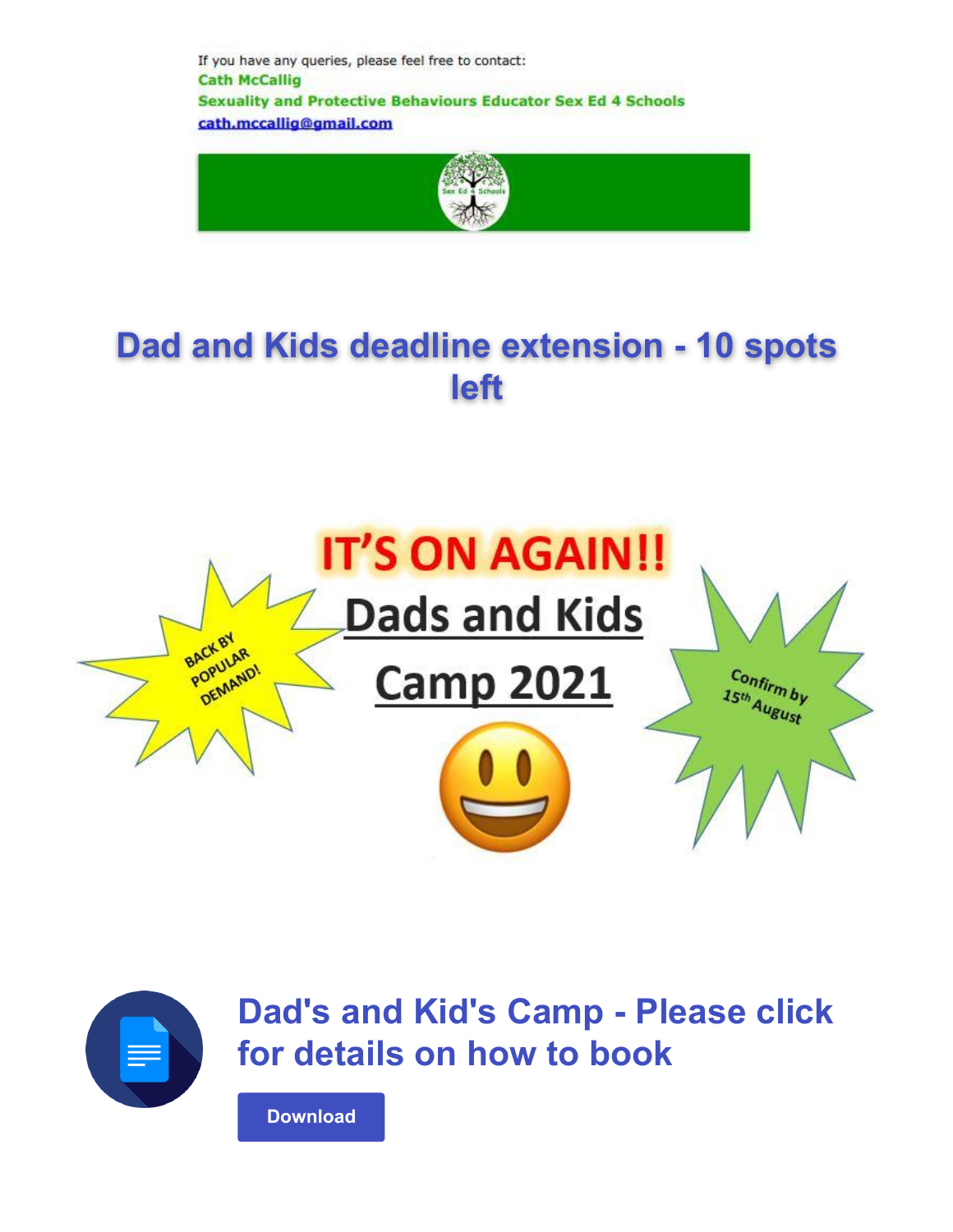If you have any queries, please feel free to contact: **Cath McCallig Sexuality and Protective Behaviours Educator Sex Ed 4 Schools** cath.mccallig@gmail.com



## **Dad and Kids deadline extension - 10 spots left**





**Dad's and Kid's Camp - Please click for details on how to book**

**[Download](https://enewsletter.coralcommunities.com/download?file=/file_module/21584/file_download_21584_2039268498.pdf)**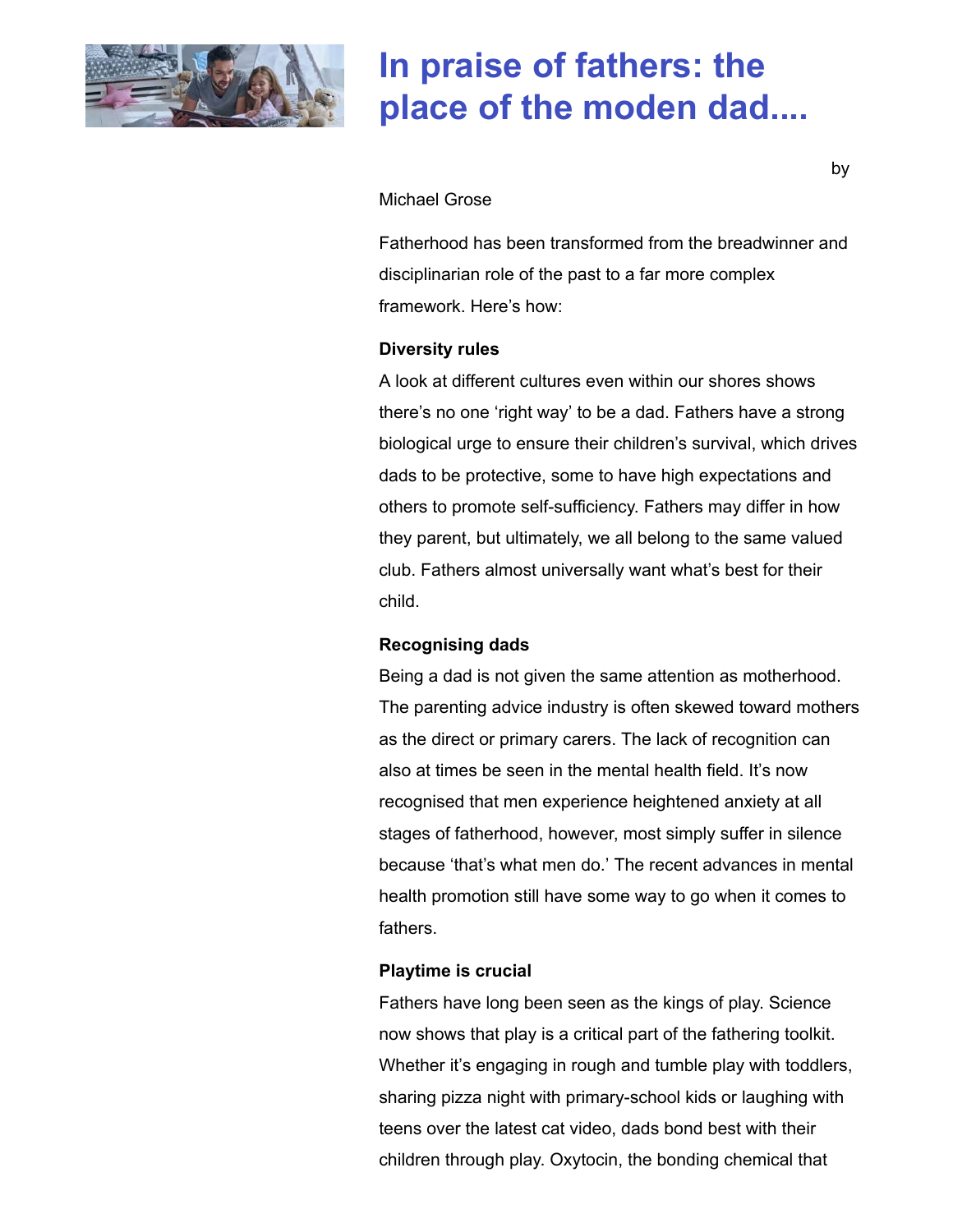

### **In praise of fathers: the place of the moden dad....**

#### Michael Grose

Fatherhood has been transformed from the breadwinner and disciplinarian role of the past to a far more complex framework. Here's how:

#### **Diversity rules**

A look at different cultures even within our shores shows there's no one 'right way' to be a dad. Fathers have a strong biological urge to ensure their children's survival, which drives dads to be protective, some to have high expectations and others to promote self-sufficiency. Fathers may differ in how they parent, but ultimately, we all belong to the same valued club. Fathers almost universally want what's best for their child.

### **Recognising dads**

Being a dad is not given the same attention as motherhood. The parenting advice industry is often skewed toward mothers as the direct or primary carers. The lack of recognition can also at times be seen in the mental health field. It's now recognised that men experience heightened anxiety at all stages of fatherhood, however, most simply suffer in silence because 'that's what men do.' The recent advances in mental health promotion still have some way to go when it comes to fathers.

### **Playtime is crucial**

Fathers have long been seen as the kings of play. Science now shows that play is a critical part of the fathering toolkit. Whether it's engaging in rough and tumble play with toddlers, sharing pizza night with primary-school kids or laughing with teens over the latest cat video, dads bond best with their children through play. Oxytocin, the bonding chemical that

by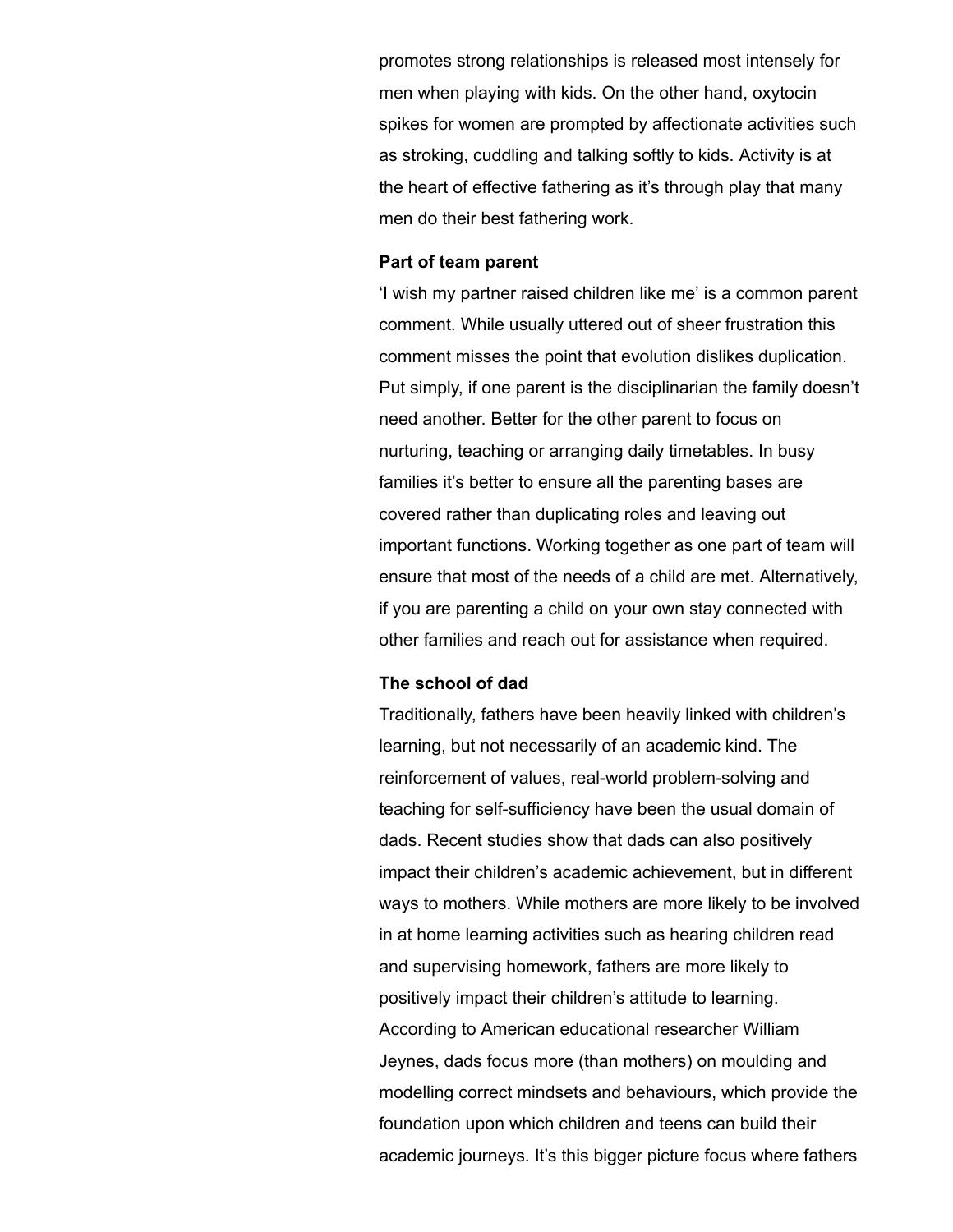promotes strong relationships is released most intensely for men when playing with kids. On the other hand, oxytocin spikes for women are prompted by affectionate activities such as stroking, cuddling and talking softly to kids. Activity is at the heart of effective fathering as it's through play that many men do their best fathering work.

#### **Part of team parent**

'I wish my partner raised children like me' is a common parent comment. While usually uttered out of sheer frustration this comment misses the point that evolution dislikes duplication. Put simply, if one parent is the disciplinarian the family doesn't need another. Better for the other parent to focus on nurturing, teaching or arranging daily timetables. In busy families it's better to ensure all the parenting bases are covered rather than duplicating roles and leaving out important functions. Working together as one part of team will ensure that most of the needs of a child are met. Alternatively, if you are parenting a child on your own stay connected with other families and reach out for assistance when required.

### **The school of dad**

Traditionally, fathers have been heavily linked with children's learning, but not necessarily of an academic kind. The reinforcement of values, real-world problem-solving and teaching for self-sufficiency have been the usual domain of dads. Recent studies show that dads can also positively impact their children's academic achievement, but in different ways to mothers. While mothers are more likely to be involved in at home learning activities such as hearing children read and supervising homework, fathers are more likely to positively impact their children's attitude to learning. According to American educational researcher William Jeynes, dads focus more (than mothers) on moulding and modelling correct mindsets and behaviours, which provide the foundation upon which children and teens can build their academic journeys. It's this bigger picture focus where fathers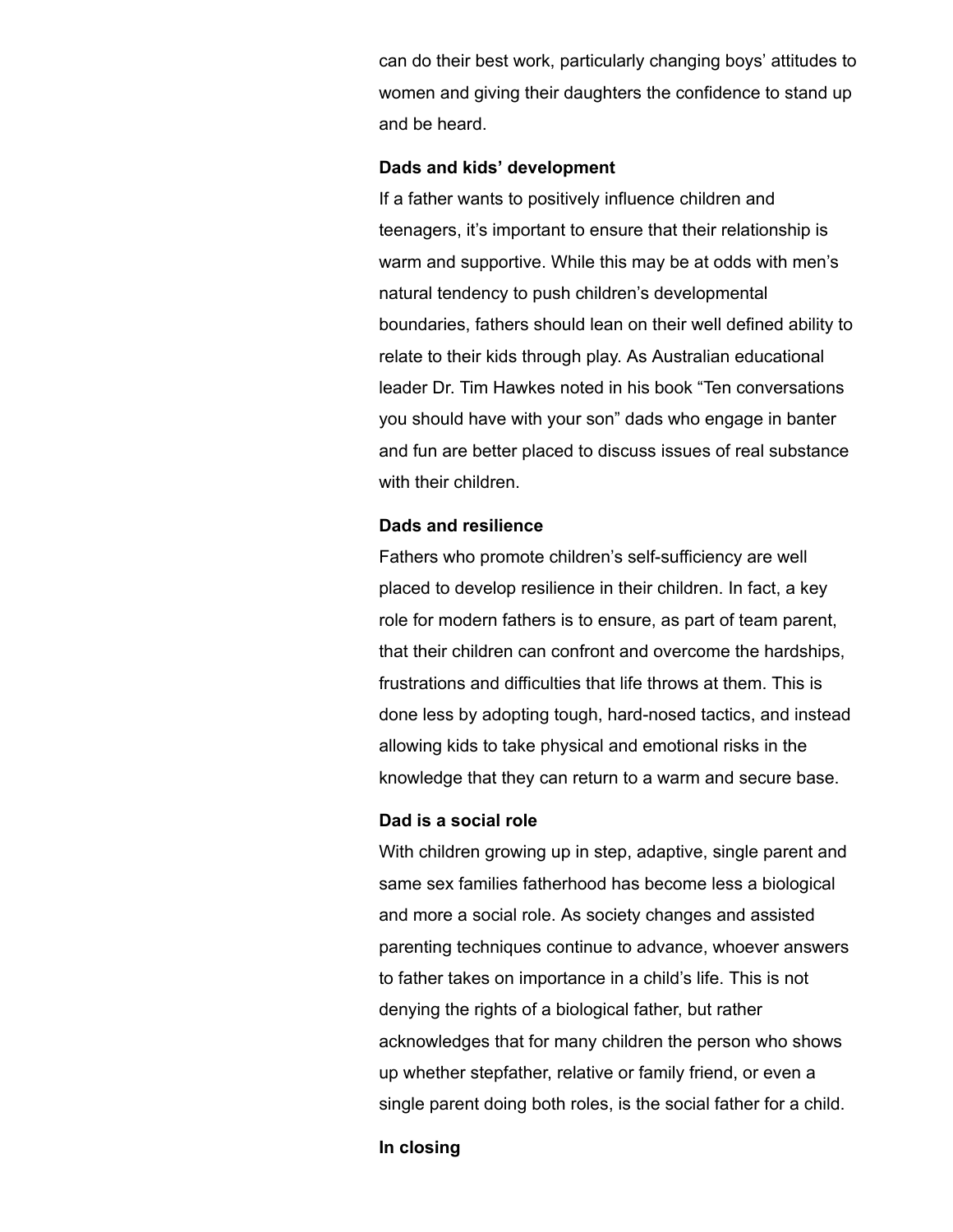can do their best work, particularly changing boys' attitudes to women and giving their daughters the confidence to stand up and be heard.

#### **Dads and kids' development**

If a father wants to positively influence children and teenagers, it's important to ensure that their relationship is warm and supportive. While this may be at odds with men's natural tendency to push children's developmental boundaries, fathers should lean on their well defined ability to relate to their kids through play. As Australian educational leader Dr. Tim Hawkes noted in his book "Ten conversations you should have with your son" dads who engage in banter and fun are better placed to discuss issues of real substance with their children.

#### **Dads and resilience**

Fathers who promote children's self-sufficiency are well placed to develop resilience in their children. In fact, a key role for modern fathers is to ensure, as part of team parent, that their children can confront and overcome the hardships, frustrations and difficulties that life throws at them. This is done less by adopting tough, hard-nosed tactics, and instead allowing kids to take physical and emotional risks in the knowledge that they can return to a warm and secure base.

#### **Dad is a social role**

With children growing up in step, adaptive, single parent and same sex families fatherhood has become less a biological and more a social role. As society changes and assisted parenting techniques continue to advance, whoever answers to father takes on importance in a child's life. This is not denying the rights of a biological father, but rather acknowledges that for many children the person who shows up whether stepfather, relative or family friend, or even a single parent doing both roles, is the social father for a child.

**In closing**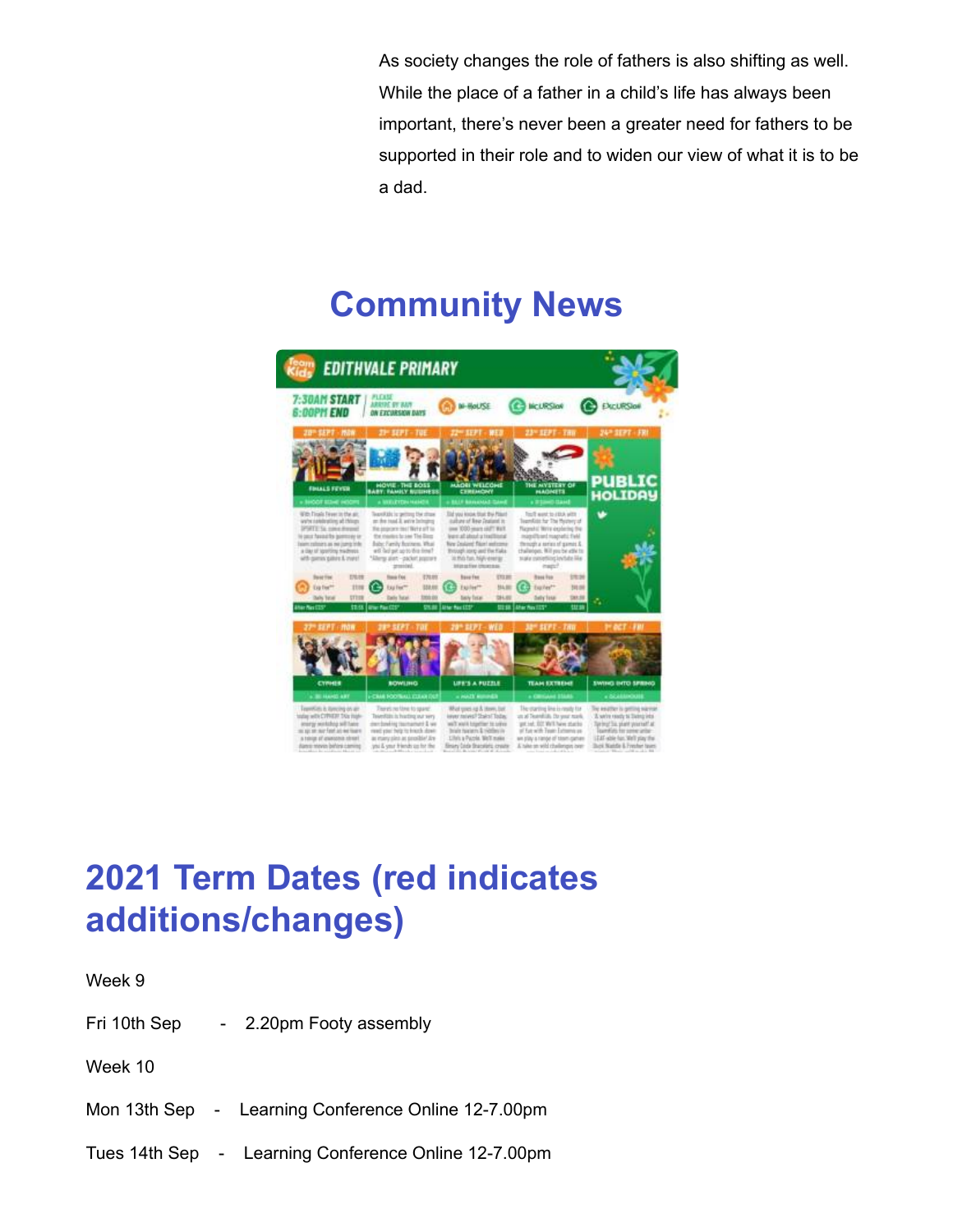As society changes the role of fathers is also shifting as well. While the place of a father in a child's life has always been important, there's never been a greater need for fathers to be supported in their role and to widen our view of what it is to be a dad.

### **Community News**



## **2021 Term Dates (red indicates additions/changes)**

Week 9

Fri 10th Sep - 2.20pm Footy assembly

Week 10

Mon 13th Sep - Learning Conference Online 12-7.00pm

Tues 14th Sep - Learning Conference Online 12-7.00pm